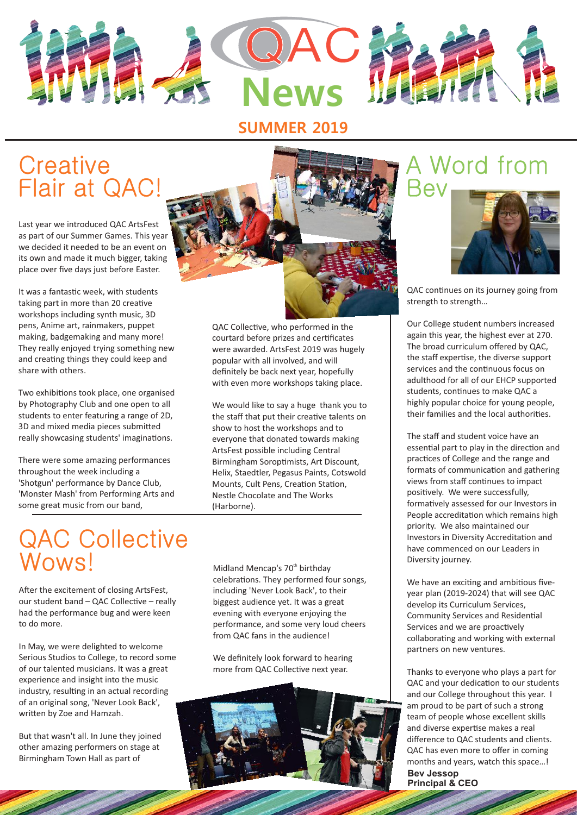

### **SUMMER 2019**

# **Creative** Flair at QAC!

Last year we introduced QAC ArtsFest as part of our Summer Games. This year we decided it needed to be an event on its own and made it much bigger, taking place over five days just before Easter.

It was a fantastic week, with students taking part in more than 20 creative workshops including synth music, 3D pens, Anime art, rainmakers, puppet making, badgemaking and many more! They really enjoyed trying something new and creating things they could keep and share with others.

Two exhibitions took place, one organised by Photography Club and one open to all students to enter featuring a range of 2D, 3D and mixed media pieces submitted really showcasing students' imaginations.

There were some amazing performances throughout the week including a 'Shotgun' performance by Dance Club, 'Monster Mash' from Performing Arts and some great music from our band,



QAC Collective, who performed in the courtard before prizes and cerficates were awarded. ArtsFest 2019 was hugely popular with all involved, and will definitely be back next year, hopefully with even more workshops taking place.

We would like to say a huge thank you to the staff that put their creative talents on show to host the workshops and to everyone that donated towards making ArtsFest possible including Central Birmingham Soroptimists, Art Discount, Helix, Staedtler, Pegasus Paints, Cotswold Mounts, Cult Pens, Creation Station, Nestle Chocolate and The Works (Harborne).

# QAC Collective Wows!

After the excitement of closing ArtsFest. our student band  $-$  QAC Collective  $-$  really had the performance bug and were keen to do more.

In May, we were delighted to welcome Serious Studios to College, to record some of our talented musicians. It was a great experience and insight into the music industry, resulting in an actual recording of an original song, 'Never Look Back', written by Zoe and Hamzah.

But that wasn't all. In June they joined other amazing performers on stage at Birmingham Town Hall as part of

Midland Mencap's 70<sup>th</sup> birthday celebrations. They performed four songs, including 'Never Look Back', to their biggest audience yet. It was a great evening with everyone enjoying the performance, and some very loud cheers from QAC fans in the audience!

We definitely look forward to hearing more from QAC Collective next year.



# Word from Bev



QAC continues on its journey going from strength to strength…

Our College student numbers increased again this year, the highest ever at 270. The broad curriculum offered by QAC, the staff expertise, the diverse support services and the continuous focus on adulthood for all of our EHCP supported students, continues to make QAC a highly popular choice for young people, their families and the local authorities.

The staff and student voice have an essential part to play in the direction and practices of College and the range and formats of communication and gathering views from staff continues to impact positively. We were successfully, formatively assessed for our Investors in People accreditation which remains high priority. We also maintained our Investors in Diversity Accreditation and have commenced on our Leaders in Diversity journey.

We have an exciting and ambitious fiveyear plan (2019-2024) that will see QAC develop its Curriculum Services, Community Services and Residential Services and we are proactively collaborating and working with external partners on new ventures.

Thanks to everyone who plays a part for QAC and your dedication to our students and our College throughout this year. I am proud to be part of such a strong team of people whose excellent skills and diverse expertise makes a real difference to QAC students and clients. QAC has even more to offer in coming months and years, watch this space…! **Bev Jessop Principal & CEO**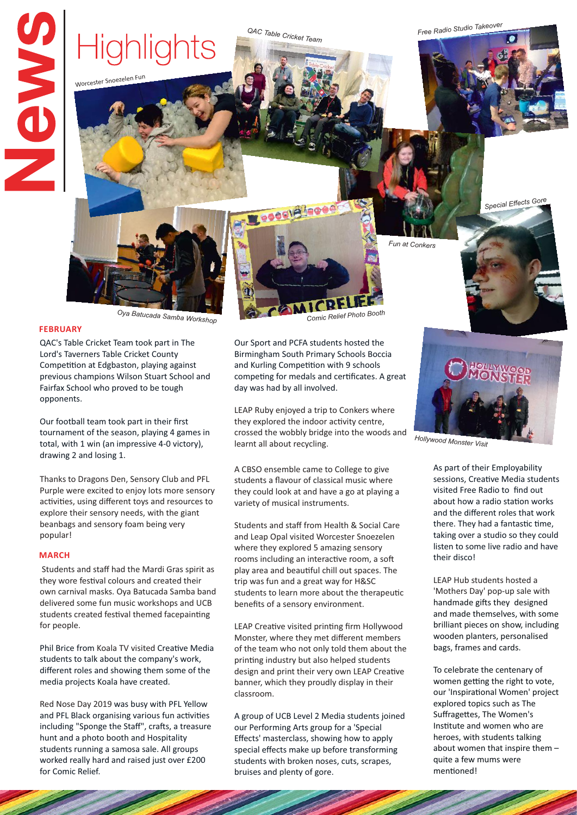# **SAVE**

Highlights

Worcester Snoezelen Fun

*Free Radio Studio Takeover QAC Table Cricket Team*



Our Sport and PCFA students hosted the Birmingham South Primary Schools Boccia and Kurling Competition with 9 schools competing for medals and certificates. A great

LEAP Ruby enjoyed a trip to Conkers where they explored the indoor activity centre. crossed the wobbly bridge into the woods and

A CBSO ensemble came to College to give students a flavour of classical music where they could look at and have a go at playing a

Students and staff from Health & Social Care and Leap Opal visited Worcester Snoezelen where they explored 5 amazing sensory rooms including an interactive room, a soft play area and beautiful chill out spaces. The trip was fun and a great way for H&SC students to learn more about the therapeutic

LEAP Creative visited printing firm Hollywood Monster, where they met different members of the team who not only told them about the printing industry but also helped students design and print their very own LEAP Creative banner, which they proudly display in their

A group of UCB Level 2 Media students joined our Performing Arts group for a 'Special Effects' masterclass, showing how to apply special effects make up before transforming students with broken noses, cuts, scrapes,

day was had by all involved.

learnt all about recycling.

variety of musical instruments.

benefits of a sensory environment.

classroom.

bruises and plenty of gore.

*Comic Relief Photo Booth Oya Batucada Samba Workshop*

#### **FEBRUARY**

QAC's Table Cricket Team took part in The Lord's Taverners Table Cricket County Competition at Edgbaston, playing against previous champions Wilson Stuart School and Fairfax School who proved to be tough opponents.

Our football team took part in their first tournament of the season, playing 4 games in total, with 1 win (an impressive 4-0 victory), drawing 2 and losing 1.

Thanks to Dragons Den, Sensory Club and PFL Purple were excited to enjoy lots more sensory activities, using different toys and resources to explore their sensory needs, with the giant beanbags and sensory foam being very popular!

#### **MARCH**

Students and staff had the Mardi Gras spirit as they wore festival colours and created their own carnival masks. Oya Batucada Samba band delivered some fun music workshops and UCB students created festival themed facepainting for people.

Phil Brice from Koala TV visited Creative Media students to talk about the company's work, different roles and showing them some of the media projects Koala have created.

Red Nose Day 2019 was busy with PFL Yellow and PFL Black organising various fun activities including "Sponge the Staff", crafts, a treasure hunt and a photo booth and Hospitality students running a samosa sale. All groups worked really hard and raised just over £200 for Comic Relief.

*Fun at Conkers*

*Special Effects Gore*



*Hollywood Monster Visit*

As part of their Employability sessions, Creative Media students visited Free Radio to find out about how a radio station works and the different roles that work there. They had a fantastic time, taking over a studio so they could listen to some live radio and have their disco!

LEAP Hub students hosted a 'Mothers Day' pop-up sale with handmade gifts they designed and made themselves, with some brilliant pieces on show, including wooden planters, personalised bags, frames and cards.

To celebrate the centenary of women getting the right to vote, our 'Inspirational Women' project explored topics such as The Suffragettes, The Women's Instute and women who are heroes, with students talking about women that inspire them – quite a few mums were mentioned!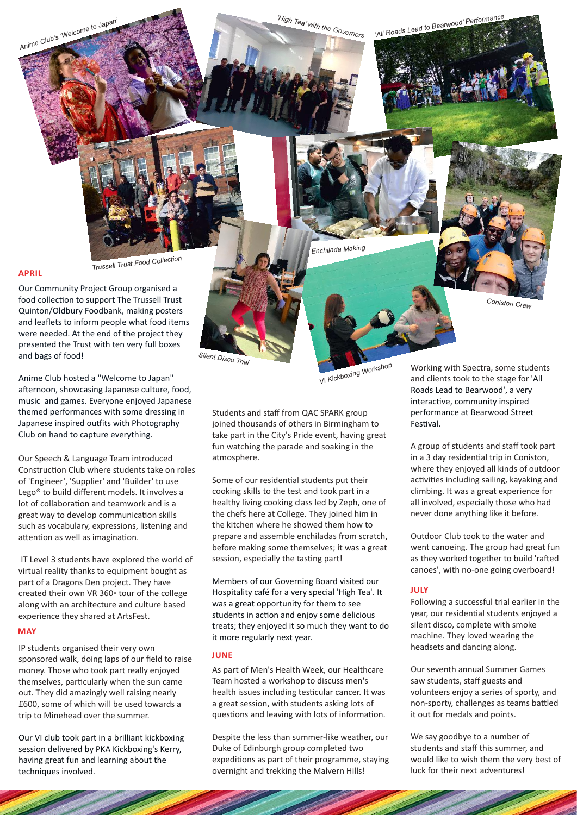

Our Community Project Group organised a food collection to support The Trussell Trust Quinton/Oldbury Foodbank, making posters and leaflets to inform people what food items were needed. At the end of the project they presented the Trust with ten very full boxes and bags of food!

Anime Club hosted a "Welcome to Japan" afternoon, showcasing Japanese culture, food, music and games. Everyone enjoyed Japanese themed performances with some dressing in Japanese inspired outfits with Photography Club on hand to capture everything.

Our Speech & Language Team introduced Construction Club where students take on roles of 'Engineer', 'Supplier' and 'Builder' to use Lego® to build different models. It involves a lot of collaboration and teamwork and is a great way to develop communication skills such as vocabulary, expressions, listening and attention as well as imagination.

IT Level 3 students have explored the world of virtual reality thanks to equipment bought as part of a Dragons Den project. They have created their own VR 360◦ tour of the college along with an architecture and culture based experience they shared at ArtsFest.

#### **MAY**

IP students organised their very own sponsored walk, doing laps of our field to raise money. Those who took part really enjoyed themselves, particularly when the sun came out. They did amazingly well raising nearly £600, some of which will be used towards a trip to Minehead over the summer.

Our VI club took part in a brilliant kickboxing session delivered by PKA Kickboxing's Kerry, having great fun and learning about the techniques involved.

*VI Kickboxing Workshop*

Students and staff from QAC SPARK group joined thousands of others in Birmingham to take part in the City's Pride event, having great fun watching the parade and soaking in the atmosphere.

Some of our residential students put their cooking skills to the test and took part in a healthy living cooking class led by Zeph, one of the chefs here at College. They joined him in the kitchen where he showed them how to prepare and assemble enchiladas from scratch, before making some themselves; it was a great session, especially the tasting part!

Members of our Governing Board visited our Hospitality café for a very special 'High Tea'. It was a great opportunity for them to see students in action and enjoy some delicious treats; they enjoyed it so much they want to do it more regularly next year.

#### **JUNE**

*Silent Disco Trial*

As part of Men's Health Week, our Healthcare Team hosted a workshop to discuss men's health issues including testicular cancer. It was a great session, with students asking lots of questions and leaving with lots of information.

Despite the less than summer-like weather, our Duke of Edinburgh group completed two expeditions as part of their programme, staying overnight and trekking the Malvern Hills!

Working with Spectra, some students and clients took to the stage for 'All Roads Lead to Bearwood', a very interactive, community inspired performance at Bearwood Street Festival

*Coniston Crew*

A group of students and staff took part in a 3 day residential trip in Coniston, where they enjoyed all kinds of outdoor activities including sailing, kayaking and climbing. It was a great experience for all involved, especially those who had never done anything like it before.

Outdoor Club took to the water and went canoeing. The group had great fun as they worked together to build 'rafted canoes', with no-one going overboard!

#### **JULY**

Following a successful trial earlier in the year, our residential students enjoyed a silent disco, complete with smoke machine. They loved wearing the headsets and dancing along.

Our seventh annual Summer Games saw students, staff guests and volunteers enjoy a series of sporty, and non-sporty, challenges as teams battled it out for medals and points.

We say goodbye to a number of students and staff this summer, and would like to wish them the very best of luck for their next adventures!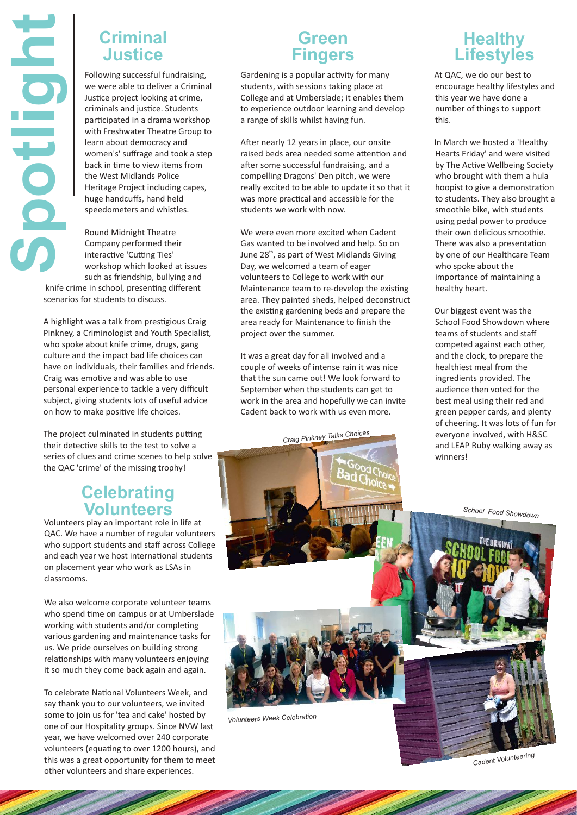## **Criminal Justice**

Following successful fundraising, we were able to deliver a Criminal Justice project looking at crime, criminals and justice. Students participated in a drama workshop with Freshwater Theatre Group to learn about democracy and women's' suffrage and took a step back in time to view items from the West Midlands Police Heritage Project including capes, huge handcuffs, hand held speedometers and whistles.

**Spotlight**

Round Midnight Theatre Company performed their interactive 'Cutting Ties' workshop which looked at issues such as friendship, bullying and

knife crime in school, presenting different scenarios for students to discuss.

A highlight was a talk from prestigious Craig Pinkney, a Criminologist and Youth Specialist, who spoke about knife crime, drugs, gang culture and the impact bad life choices can have on individuals, their families and friends. Craig was emotive and was able to use personal experience to tackle a very difficult subject, giving students lots of useful advice on how to make positive life choices.

The project culminated in students putting their detective skills to the test to solve a series of clues and crime scenes to help solve the QAC 'crime' of the missing trophy!

# **Celebrating Volunteers**

Volunteers play an important role in life at QAC. We have a number of regular volunteers who support students and staff across College and each year we host international students on placement year who work as LSAs in classrooms.

We also welcome corporate volunteer teams who spend time on campus or at Umberslade working with students and/or completing various gardening and maintenance tasks for us. We pride ourselves on building strong relationships with many volunteers enjoying it so much they come back again and again.

To celebrate National Volunteers Week, and say thank you to our volunteers, we invited some to join us for 'tea and cake' hosted by one of our Hospitality groups. Since NVW last year, we have welcomed over 240 corporate volunteers (equating to over 1200 hours), and this was a great opportunity for them to meet other volunteers and share experiences.

# **Green Fingers**

Gardening is a popular activity for many students, with sessions taking place at College and at Umberslade; it enables them to experience outdoor learning and develop a range of skills whilst having fun.

After nearly 12 years in place, our onsite raised beds area needed some attention and after some successful fundraising, and a compelling Dragons' Den pitch, we were really excited to be able to update it so that it was more practical and accessible for the students we work with now.

We were even more excited when Cadent Gas wanted to be involved and help. So on June 28<sup>th</sup>, as part of West Midlands Giving Day, we welcomed a team of eager volunteers to College to work with our Maintenance team to re-develop the existing area. They painted sheds, helped deconstruct the existing gardening beds and prepare the area ready for Maintenance to finish the project over the summer.

It was a great day for all involved and a couple of weeks of intense rain it was nice that the sun came out! We look forward to September when the students can get to work in the area and hopefully we can invite Cadent back to work with us even more.

*Craig Pinkney Talks Choices*



At QAC, we do our best to encourage healthy lifestyles and this year we have done a number of things to support this.

In March we hosted a 'Healthy Hearts Friday' and were visited by The Active Wellbeing Society who brought with them a hula hoopist to give a demonstration to students. They also brought a smoothie bike, with students using pedal power to produce their own delicious smoothie. There was also a presentation by one of our Healthcare Team who spoke about the importance of maintaining a healthy heart.

Our biggest event was the School Food Showdown where teams of students and staff competed against each other, and the clock, to prepare the healthiest meal from the ingredients provided. The audience then voted for the best meal using their red and green pepper cards, and plenty of cheering. It was lots of fun for everyone involved, with H&SC and LEAP Ruby walking away as winners!

*School Food Showdown* 



*Volunteers Week Celebration*

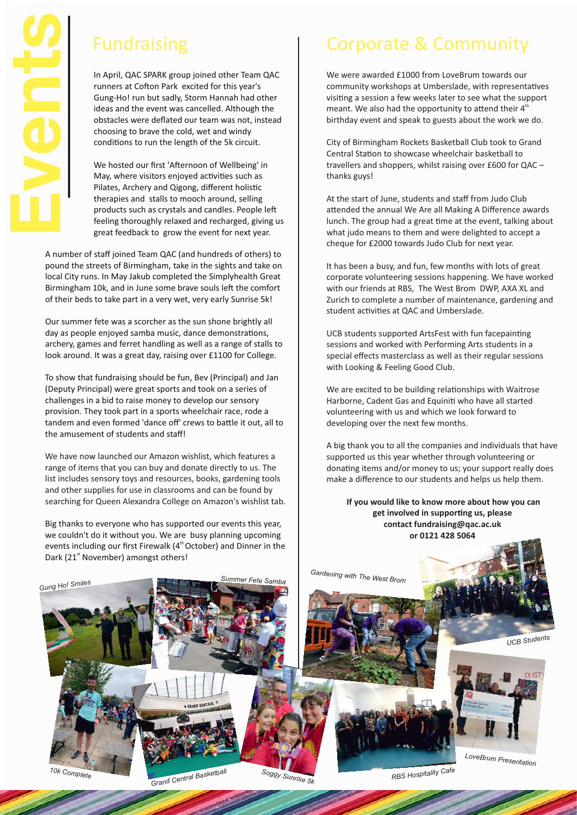

In April, QAC SPARK group joined other Team QAC runners at Cofton Park excited for this year's Gung-Ho! run but sadly, Storm Hannah had other ideas and the event was cancelled. Although the obstacles were deflated our team was not, instead choosing to brave the cold, wet and windy conditions to run the length of the 5k circuit.

We hosted our first 'Afternoon of Wellbeing' in May, where visitors enjoyed activities such as Pilates, Archery and Qigong, different holistic therapies and stalls to mooch around, selling products such as crystals and candles. People le feeling thoroughly relaxed and recharged, giving us great feedback to grow the event for next year.

A number of staff joined Team QAC (and hundreds of others) to pound the streets of Birmingham, take in the sights and take on local City runs. In May Jakub completed the Simplyhealth Great Birmingham 10k, and in June some brave souls left the comfort of their beds to take part in a very wet, very early Sunrise 5k!

Our summer fete was a scorcher as the sun shone brightly all day as people enjoyed samba music, dance demonstrations, archery, games and ferret handling as well as a range of stalls to look around. It was a great day, raising over £1100 for College.

To show that fundraising should be fun, Bev (Principal) and Jan (Deputy Principal) were great sports and took on a series of challenges in a bid to raise money to develop our sensory provision. They took part in a sports wheelchair race, rode a tandem and even formed 'dance off' crews to battle it out, all to the amusement of students and staff!

We have now launched our Amazon wishlist, which features a range of items that you can buy and donate directly to us. The list includes sensory toys and resources, books, gardening tools and other supplies for use in classrooms and can be found by searching for Queen Alexandra College on Amazon's wishlist tab.

Big thanks to everyone who has supported our events this year, we couldn't do it without you. We are busy planning upcoming events including our first Firewalk (4<sup>th</sup> October) and Dinner in the Dark (21<sup>st</sup> November) amongst others!

# Fundraising **Corporate & Community**

We were awarded £1000 from LoveBrum towards our community workshops at Umberslade, with representatives visiting a session a few weeks later to see what the support meant. We also had the opportunity to attend their  $4<sup>th</sup>$ birthday event and speak to guests about the work we do.

City of Birmingham Rockets Basketball Club took to Grand Central Station to showcase wheelchair basketball to travellers and shoppers, whilst raising over £600 for QAC – thanks guys!

At the start of June, students and staff from Judo Club attended the annual We Are all Making A Difference awards lunch. The group had a great time at the event, talking about what judo means to them and were delighted to accept a cheque for £2000 towards Judo Club for next year.

It has been a busy, and fun, few months with lots of great corporate volunteering sessions happening. We have worked with our friends at RBS, The West Brom DWP, AXA XL and Zurich to complete a number of maintenance, gardening and student activities at QAC and Umberslade.

UCB students supported ArtsFest with fun facepainting sessions and worked with Performing Arts students in a special effects masterclass as well as their regular sessions with Looking & Feeling Good Club.

We are excited to be building relationships with Waitrose Harborne, Cadent Gas and Equiniti who have all started volunteering with us and which we look forward to developing over the next few months.

A big thank you to all the companies and individuals that have supported us this year whether through volunteering or donating items and/or money to us; your support really does make a difference to our students and helps us help them.

 **If you would like to know more about how you can** get involved in supporting us, please **contact fundraising@qac.ac.uk or 0121 428 5064**